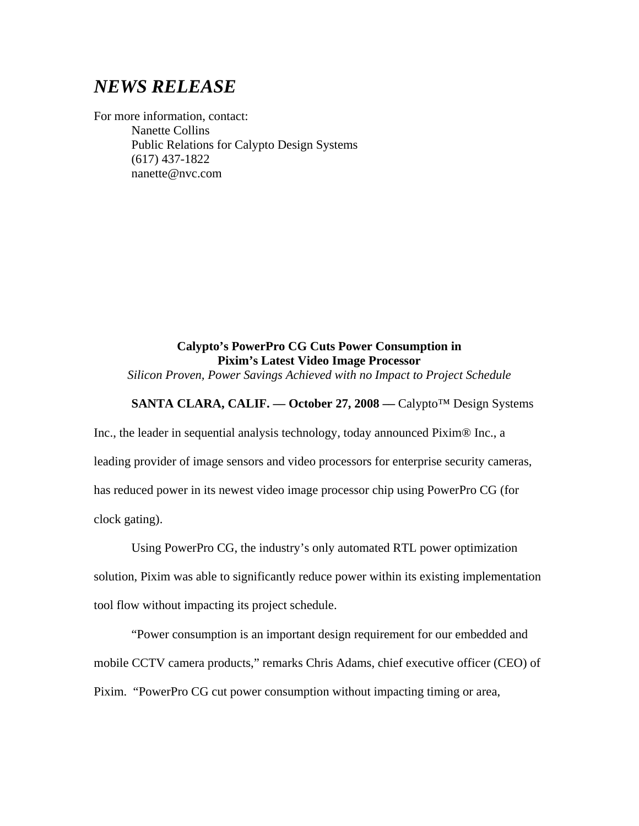# *NEWS RELEASE*

For more information, contact: Nanette Collins Public Relations for Calypto Design Systems (617) 437-1822 nanette@nvc.com

## **Calypto's PowerPro CG Cuts Power Consumption in Pixim's Latest Video Image Processor**

*Silicon Proven, Power Savings Achieved with no Impact to Project Schedule*

## **SANTA CLARA, CALIF. –– October 27, 2008 ––** Calypto™ Design Systems

Inc., the leader in sequential analysis technology, today announced Pixim® Inc., a leading provider of image sensors and video processors for enterprise security cameras, has reduced power in its newest video image processor chip using PowerPro CG (for clock gating).

Using PowerPro CG, the industry's only automated RTL power optimization solution, Pixim was able to significantly reduce power within its existing implementation tool flow without impacting its project schedule.

 "Power consumption is an important design requirement for our embedded and mobile CCTV camera products," remarks Chris Adams, chief executive officer (CEO) of Pixim. "PowerPro CG cut power consumption without impacting timing or area,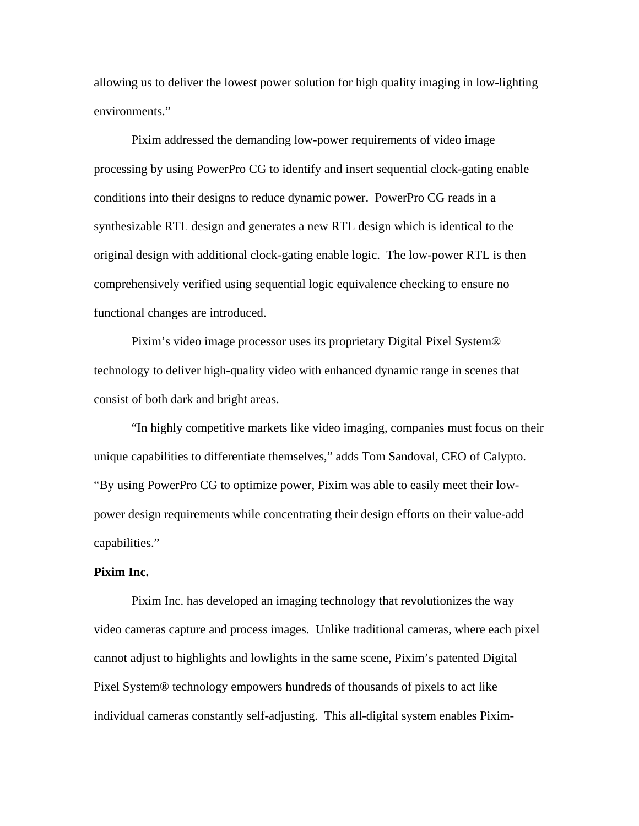allowing us to deliver the lowest power solution for high quality imaging in low-lighting environments."

Pixim addressed the demanding low-power requirements of video image processing by using PowerPro CG to identify and insert sequential clock-gating enable conditions into their designs to reduce dynamic power. PowerPro CG reads in a synthesizable RTL design and generates a new RTL design which is identical to the original design with additional clock-gating enable logic. The low-power RTL is then comprehensively verified using sequential logic equivalence checking to ensure no functional changes are introduced.

Pixim's video image processor uses its proprietary Digital Pixel System® technology to deliver high-quality video with enhanced dynamic range in scenes that consist of both dark and bright areas.

"In highly competitive markets like video imaging, companies must focus on their unique capabilities to differentiate themselves," adds Tom Sandoval, CEO of Calypto. "By using PowerPro CG to optimize power, Pixim was able to easily meet their lowpower design requirements while concentrating their design efforts on their value-add capabilities."

### **Pixim Inc.**

Pixim Inc. has developed an imaging technology that revolutionizes the way video cameras capture and process images. Unlike traditional cameras, where each pixel cannot adjust to highlights and lowlights in the same scene, Pixim's patented Digital Pixel System® technology empowers hundreds of thousands of pixels to act like individual cameras constantly self-adjusting. This all-digital system enables Pixim